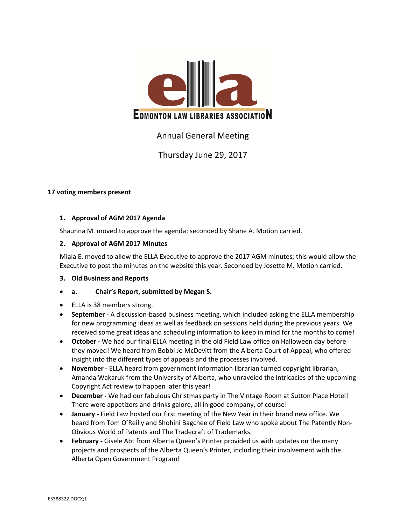

# Annual General Meeting

# Thursday June 29, 2017

# **17 voting members present**

# **1. Approval of AGM 2017 Agenda**

Shaunna M. moved to approve the agenda; seconded by Shane A. Motion carried.

# **2. Approval of AGM 2017 Minutes**

Miala E. moved to allow the ELLA Executive to approve the 2017 AGM minutes; this would allow the Executive to post the minutes on the website this year. Seconded by Josette M. Motion carried.

# **3. Old Business and Reports**

# **a. Chair's Report, submitted by Megan S.**

- ELLA is 38 members strong.
- **September -** A discussion-based business meeting, which included asking the ELLA membership for new programming ideas as well as feedback on sessions held during the previous years. We received some great ideas and scheduling information to keep in mind for the months to come!
- **October -** We had our final ELLA meeting in the old Field Law office on Halloween day before they moved! We heard from Bobbi Jo McDevitt from the Alberta Court of Appeal, who offered insight into the different types of appeals and the processes involved.
- **November -** ELLA heard from government information librarian turned copyright librarian, Amanda Wakaruk from the University of Alberta, who unraveled the intricacies of the upcoming Copyright Act review to happen later this year!
- **December -** We had our fabulous Christmas party in The Vintage Room at Sutton Place Hotel! There were appetizers and drinks galore, all in good company, of course!
- **January -** Field Law hosted our first meeting of the New Year in their brand new office. We heard from Tom O'Reilly and Shohini Bagchee of Field Law who spoke about The Patently Non-Obvious World of Patents and The Tradecraft of Trademarks.
- **February -** Gisele Abt from Alberta Queen's Printer provided us with updates on the many projects and prospects of the Alberta Queen's Printer, including their involvement with the Alberta Open Government Program!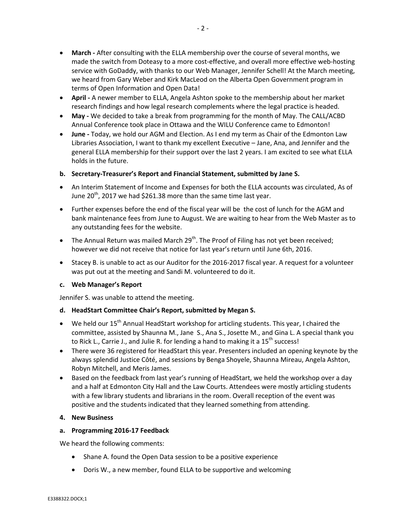- **March -** After consulting with the ELLA membership over the course of several months, we made the switch from Doteasy to a more cost-effective, and overall more effective web-hosting service with GoDaddy, with thanks to our Web Manager, Jennifer Schell! At the March meeting, we heard from Gary Weber and Kirk MacLeod on the Alberta Open Government program in terms of Open Information and Open Data!
- **April -** A newer member to ELLA, Angela Ashton spoke to the membership about her market research findings and how legal research complements where the legal practice is headed.
- **May -** We decided to take a break from programming for the month of May. The CALL/ACBD Annual Conference took place in Ottawa and the WILU Conference came to Edmonton!
- **June -** Today, we hold our AGM and Election. As I end my term as Chair of the Edmonton Law Libraries Association, I want to thank my excellent Executive – Jane, Ana, and Jennifer and the general ELLA membership for their support over the last 2 years. I am excited to see what ELLA holds in the future.

#### **b. Secretary-Treasurer's Report and Financial Statement, submitted by Jane S.**

- An Interim Statement of Income and Expenses for both the ELLA accounts was circulated, As of June  $20^{th}$ , 2017 we had \$261.38 more than the same time last year.
- Further expenses before the end of the fiscal year will be the cost of lunch for the AGM and bank maintenance fees from June to August. We are waiting to hear from the Web Master as to any outstanding fees for the website.
- The Annual Return was mailed March 29<sup>th</sup>. The Proof of Filing has not yet been received; however we did not receive that notice for last year's return until June 6th, 2016.
- Stacey B. is unable to act as our Auditor for the 2016-2017 fiscal year. A request for a volunteer was put out at the meeting and Sandi M. volunteered to do it.

#### **c. Web Manager's Report**

Jennifer S. was unable to attend the meeting.

# **d. HeadStart Committee Chair's Report, submitted by Megan S.**

- $\bullet$  We held our 15<sup>th</sup> Annual HeadStart workshop for articling students. This year, I chaired the committee, assisted by Shaunna M., Jane S., Ana S., Josette M., and Gina L. A special thank you to Rick L., Carrie J., and Julie R. for lending a hand to making it a  $15<sup>th</sup>$  success!
- There were 36 registered for HeadStart this year. Presenters included an opening keynote by the always splendid Justice Côté, and sessions by Benga Shoyele, Shaunna Mireau, Angela Ashton, Robyn Mitchell, and Meris James.
- Based on the feedback from last year's running of HeadStart, we held the workshop over a day and a half at Edmonton City Hall and the Law Courts. Attendees were mostly articling students with a few library students and librarians in the room. Overall reception of the event was positive and the students indicated that they learned something from attending.

#### **4. New Business**

# **a. Programming 2016-17 Feedback**

We heard the following comments:

- Shane A. found the Open Data session to be a positive experience
- Doris W., a new member, found ELLA to be supportive and welcoming